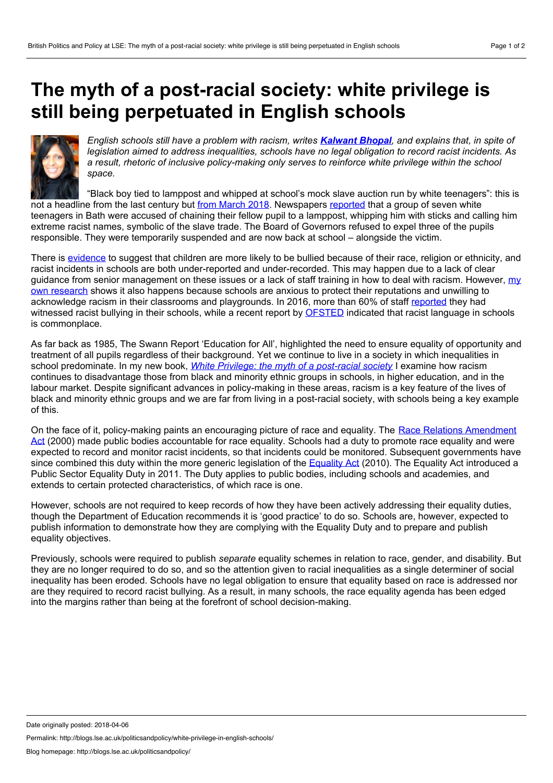## <span id="page-0-0"></span>**The myth of a post-racial society: white privilege is still being perpetuated in English schools**



English schools still have a problem with racism, writes **[Kalwant](#page-0-0) Bhopal**, and explains that, in spite of *legislation aimed to address inequalities, schools have no legal obligation to record racist incidents. As a result, rhetoric of inclusive policy-making only serves to reinforce white privilege within the school space.*

"Black boy tied to lamppost and whipped at school's mock slave auction run by white teenagers": this is not a headline from the last century but from [March](https://www.mirror.co.uk/news/uk-news/black-boy-tied-lamppost-whipped-12180662) 2018. Newspapers [reported](https://www.bathchronicle.co.uk/news/bath-news/bath-school-governors-refuse-expel-1333724?_ga=2.154161016.1725581530.1522949029-533837400.1521280535) that a group of seven white teenagers in Bath were accused of chaining their fellow pupil to a lamppost, whipping him with sticks and calling him extreme racist names, symbolic of the slave trade. The Board of Governors refused to expel three of the pupils responsible. They were temporarily suspended and are now back at school – alongside the victim.

There is [evidence](https://www.ditchthelabel.org/research-papers/the-annual-bullying-survey-2015/) to suggest that children are more likely to be bullied because of their race, religion or ethnicity, and racist incidents in schools are both under-reported and under-recorded. This may happen due to a lack of clear guidance from senior [management](https://www.tandfonline.com/doi/abs/10.1080/01425692.2015.1073099) on these issues or a lack of staff training in how to deal with racism. However, my own research shows it also happens because schools are anxious to protect their reputations and unwilling to acknowledge racism in their classrooms and playgrounds. In 2016, more than 60% of staff [reported](https://www.tes.com/news/school-news/breaking-news/more-60-cent-uk-school-staff-have-witnessed-racist-bullying) they had witnessed racist bullying in their schools, while a recent report by [OFSTED](https://www.gov.uk/government/uploads/system/uploads/attachment_data/file/413234/No_place_for_bullying.pdf) indicated that racist language in schools is commonplace.

As far back as 1985, The Swann Report 'Education for All', highlighted the need to ensure equality of opportunity and treatment of all pupils regardless of their background. Yet we continue to live in a society in which inequalities in school predominate. In my new book, *White Privilege: the myth of a [post-racial](https://policypress.co.uk/white-privilege) society* I examine how racism continues to disadvantage those from black and minority ethnic groups in schools, in higher education, and in the labour market. Despite significant advances in policy-making in these areas, racism is a key feature of the lives of black and minority ethnic groups and we are far from living in a post-racial society, with schools being a key example of this.

On the face of it, [policy-making](http://www.legislation.gov.uk/ukpga/2000/34/contents) paints an encouraging picture of race and equality. The Race Relations Amendment Act (2000) made public bodies accountable for race equality. Schools had a duty to promote race equality and were expected to record and monitor racist incidents, so that incidents could be monitored. Subsequent governments have since combined this duty within the more generic legislation of the [Equality](https://www.gov.uk/guidance/equality-act-2010-guidance) Act (2010). The Equality Act introduced a Public Sector Equality Duty in 2011. The Duty applies to public bodies, including schools and academies, and extends to certain protected characteristics, of which race is one.

However, schools are not required to keep records of how they have been actively addressing their equality duties, though the Department of Education recommends it is 'good practice' to do so. Schools are, however, expected to publish information to demonstrate how they are complying with the Equality Duty and to prepare and publish equality objectives.

Previously, schools were required to publish *separate* equality schemes in relation to race, gender, and disability. But they are no longer required to do so, and so the attention given to racial inequalities as a single determiner of social inequality has been eroded. Schools have no legal obligation to ensure that equality based on race is addressed nor are they required to record racist bullying. As a result, in many schools, the race equality agenda has been edged into the margins rather than being at the forefront of school decision-making.

Permalink: http://blogs.lse.ac.uk/politicsandpolicy/white-privilege-in-english-schools/

Date originally posted: 2018-04-06